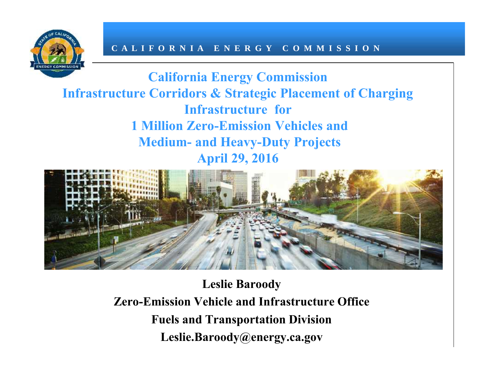

**California Energy Commission Infrastructure Corridors & Strategic Placement of Charging Infrastructure for 1 Million Zero-Emission Vehicles and Medium- and Heavy-Duty Projects April 29, 2016**



**Leslie Baroody Zero-Emission Vehicle and Infrastructure Office Fuels and Transportation Division Leslie.Baroody@energy.ca.gov**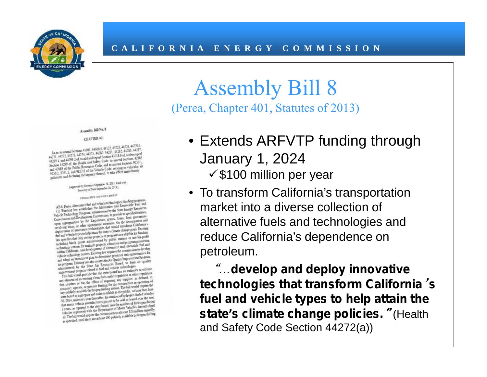

### Assembly Bill 8 (Perea, Chapter 401, Statutes of 2013)

#### Assembly Bill No. 8

#### CHAPTER 491

As actionment Sections 41081, 44060 5, 44125, 44725, 44229, 442170.3.<br>As actionment Sections 41081, 44205, 44181, 44182, 44283, 44287, 44297, 44217, Au act to annual Sections 41081, 44060 5, 44125, 44723, 44287, 44287, 44287, 44287, 44287, 44287, 44287, 44287, 44287, 44287, 44287, 44287, 44287, 44287, 44287, 44287, 44287, 44287, 44287, 44287, 44287, 44287, 44287, 44287 Au act to must of Sections 1141-15, 14(25), 14(25), 14(25), 14(25), 14(27), 14(27), 14(27), 14(27), 14(27), 14(27), 14(27), 14(27), 14(27), 14(27), 14(27), 14(27), 14(27), 14(27), 14(27), 14(27), 14(27), 14(27), 14(27), 1 44271, 44272, 443/92 of, to add and repeal Section 43018 yet are to see that 44299 1, and 44299 de Health and Safety Code, to matrix Sections 42885<br>Section 44299 of, the Health and Safety Code, to matrix Sections 9250.1,<br>  $41299.1$  and  $44299$  of the Health and Safety Code. to much Sections 9250.1.<br>Section  $44299$  of the Health and Safety Code. and to annual Sections 9250.1.<br>and 4.3889 of the Peddic Resources Code. and to annual Sections 9 Section 44299 of, the Health and Sections to annual Sections 9230.1.<br>and 42889 of the Peblic Resources Code, and to annual Sections as<br>9250.1 9261.1. and 9853 6 of the Velucle Code, relating to velucular air<br>9250.1 9261.1. and 42889 of the Putter Seawance.<br>9250.1, 9261.1, and 9853.6 of the Velacle Code: relating to venezually<br>pollution, and declaring the urgency thereof, to take effect immediately

(Approved by Geometer September 28, 2013, 24th with ced by Governor September 28, 2013.)

#### LEGISLATIVE COUNSELS DIGEST

container on the technologies, funding program<br>ABS, Peres, Alternative fuel and telacle technologies, funding program<br>ABS, Peres, Alternative and Recruits ABS, Penn Alternative Siel and tehnile technologies. Inating proposed and<br>(1) Exposing law establishes the Alternative and Researches Fuel and<br>(1) Exposing law establishes the Alternative Early Engine Engineering AB 8, Person Alternative higher the Alternative and Respectible Party (1) Excludes the Alternative and Respective Reserves.<br>(1) Excludes Technology Prospins administered by the State Energy Reserves.<br>Vehicle Technology Pro (1) Existing law estimates the particular and provide to specificate the Velascian School of Pechanics Contains the particle to specificate Contains and Development Commission, to provide to specificate Contains and Develo Vehicle Technology Program Communion to provide to specificate conservation and Development Community, pants, hours, house procedures and upon appropriate the measures, for the development and upon appropriate the measures Conservation and Development Community mants, Joann, Losa estamantes and upon appropriation by the Republicant grants, for the development and upon appropriate the method of the development and the conservation of the supp open appropriation by the Leptopriate measures, for the developments are<br>revolving home, or other appropriate measures, for the development of measures<br>deployment of unanovative vectoriologies that would wanter push. Exist recolving learn, or other appropriate that would teatsform Cancelation Entrance of any contract of mass of the state of the state of the state of the state of the state of the state of the state of the state of the state o deployment of unances to help orain the same a channel change place is reading<br>fact and vehicle types to help orain the same is expected are elegible for funding<br>the specifiers that only ordina projects or programs are ele fuel and vehicle types on new projects or programs are elegible as and circumful<br>law specifies that only on the projects or programs can have fared that<br>including block games administered by public entriests or near progra law specifies that only certain<br>mattered by gubic entrance on more contracts including block grants a<br>function and program is contracted in the matter of a more certain<br>education from the contracted of alternative and mete including block grants antimple projects, education and program powers free and<br>orchardogy entities for multiple projects, educations and reclamed<br>only or charged the control of alternative and reservations to develop<br>with sechantingly entities for multiple point of alternative and respective to develop within California, and development of absenting the communication to develop within California and ones, Example has requires the communicat within California, and one to keeping has usquares the commission consists for vehicle technology censers Excang has no determine presentes and opportunities for the Asia Capital and the contemporary plan to determine pres velocia technology centers. Example of the programme processes and opportunity and adopt an antennance processes the Ast Quality improvements Program.<br>and adopt an antennance also constructed that Quality improvements are and adopt an anomana pian or oversel the Air Quality languagement Proposes<br>the program Existing law into control the Rosentes. Board, to final air quality<br>administered by the State Air Researces. Board, to final and contro

the program Excess of the Soute Air Resources Bones, we related by the Soute Air Resources Bones<br>missionered by the Soute Air field vehicle technologies.<br>mission or all could meande that the unit board has seen of other demastered by the built of the land vehicle technologies.<br>Expressed interaction and the land vehicle technologies to enforce<br>processed provide that the same board has no minority to enforce<br>This bill would provide that the improvement projects relates that the wore board has no authority to ensure This bill would provide that the order regulations or other regulations of the state of the content of the content of the content of the content o

This bill would provide a clean field order regulation or other references of the experiment of the control of the control of the control of the control of the control of the control of the control of the control or the st any element of its equiting clean means any supplier, as defined and<br>that requires of has the effect of requiring for the construction of<br>that requires or provide fracting to the construction construction of<br>construct, ope that requires on has the existent or regional for the construction or operation the construct. operate of provide finalizing stations. The bull words on particular construct. Operation of provides finalizing stations. The communities of provide measurements. The bill would require the community publicly available hydrogens finding statuant The bill would require that have any publicly available and make available to the public, no funded ve any publicly annihile trying make available to the public, no later than now<br>case board to appropriate and make available to the desired to held which<br>for the later person there are a single to be sold or the notation of<br>t unte board to aggregate and masse of the number of hydrogen-fueled vertex.<br>193, 2014, and every year theoretics, the number of hydrogen-fueled ones the set of<br>193, 2014, and every year theoretics preject to be sold or leas 30, 2014, and every year interesting project to be sold or leased over the characteristic matrix vehicle manufacturem project to be sold or layed and the matrix of Monte Telescope. The specifical property of Monte Telescop that motor vehicle manufacturem point, and the number of hydroger-motor<br>3 years, as reported to the stare board, and the number of Moor Vehicles introduced<br>3 years, as reported with the Depositment of Moore Solution annoul 3 years, as reported with the Department of Motor Vehicles incomparative<br>vehicles registered with the Department to allocate \$20 million annually,<br>30. The bill would negate the commutation to allocate \$20 million annually. vehicles registered with the toepommuten to allocate 520 million announces.<br>30. The bill would require the commutent to allocate 520 million announces.<br>30. The bill would require the commutation to allocate 520 million ann • Extends ARFVTP funding through January 1, 2024  $\checkmark$  \$100 million per year

• To transform California's transportation market into a diverse collection of alternative fuels and technologies and reduce California's dependence on petroleum.

*"…develop and deploy innovative technologies that transform California's fuel and vehicle types to help attain the state's climate change policies."* (Health and Safety Code Section 44272(a))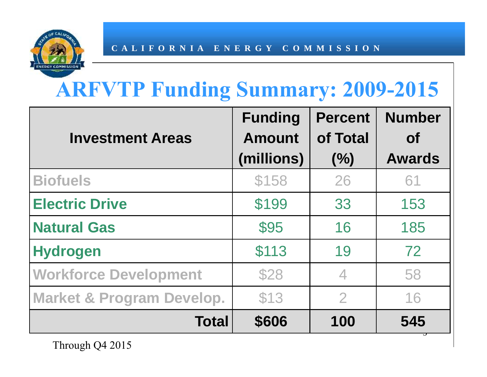

# **ARFVTP Funding Summary: 2009-2015**

|                                      | <b>Funding</b>              | <b>Percent</b>  | <b>Number</b>              |
|--------------------------------------|-----------------------------|-----------------|----------------------------|
| <b>Investment Areas</b>              | <b>Amount</b><br>(millions) | of Total<br>(%) | <b>of</b><br><b>Awards</b> |
| <b>Biofuels</b>                      | \$158                       | 26              | 61                         |
| <b>Electric Drive</b>                | \$199                       | 33              | 153                        |
| <b>Natural Gas</b>                   | \$95                        | 16              | 185                        |
| <b>Hydrogen</b>                      | \$113                       | 19              | 72                         |
| <b>Workforce Development</b>         | \$28                        | 4               | 58                         |
| <b>Market &amp; Program Develop.</b> | \$13                        | $\overline{2}$  | 16                         |
| <b>Total</b>                         | \$606                       | 100             | 545                        |

Through Q4 2015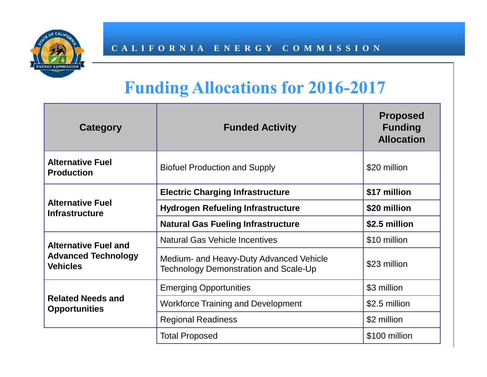

# **Funding Allocations for 2016-2017**

| Category                                         | <b>Funded Activity</b>                                                                  | <b>Proposed</b><br><b>Funding</b><br><b>Allocation</b> |
|--------------------------------------------------|-----------------------------------------------------------------------------------------|--------------------------------------------------------|
| <b>Alternative Fuel</b><br><b>Production</b>     | <b>Biofuel Production and Supply</b>                                                    | \$20 million                                           |
|                                                  | <b>Electric Charging Infrastructure</b>                                                 | \$17 million                                           |
| <b>Alternative Fuel</b><br><b>Infrastructure</b> | <b>Hydrogen Refueling Infrastructure</b>                                                | \$20 million                                           |
|                                                  | <b>Natural Gas Fueling Infrastructure</b>                                               | \$2.5 million                                          |
| <b>Alternative Fuel and</b>                      | <b>Natural Gas Vehicle Incentives</b>                                                   | \$10 million                                           |
| <b>Advanced Technology</b><br><b>Vehicles</b>    | Medium- and Heavy-Duty Advanced Vehicle<br><b>Technology Demonstration and Scale-Up</b> | \$23 million                                           |
|                                                  | <b>Emerging Opportunities</b>                                                           | \$3 million                                            |
| <b>Related Needs and</b><br><b>Opportunities</b> | <b>Workforce Training and Development</b>                                               | \$2.5 million                                          |
|                                                  | <b>Regional Readiness</b>                                                               | \$2 million                                            |
|                                                  | <b>Total Proposed</b>                                                                   | \$100 million                                          |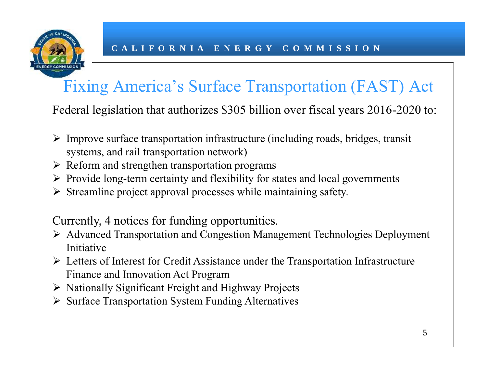

# Fixing America's Surface Transportation (FAST) Act

Federal legislation that authorizes \$305 billion over fiscal years 2016-2020 to:

- $\triangleright$  Improve surface transportation infrastructure (including roads, bridges, transit systems, and rail transportation network)
- $\triangleright$  Reform and strengthen transportation programs
- $\triangleright$  Provide long-term certainty and flexibility for states and local governments
- $\triangleright$  Streamline project approval processes while maintaining safety.

Currently, 4 notices for funding opportunities.

- Advanced Transportation and Congestion Management Technologies Deployment Initiative
- $\triangleright$  Letters of Interest for Credit Assistance under the Transportation Infrastructure Finance and Innovation Act Program
- $\triangleright$  Nationally Significant Freight and Highway Projects
- $\triangleright$  Surface Transportation System Funding Alternatives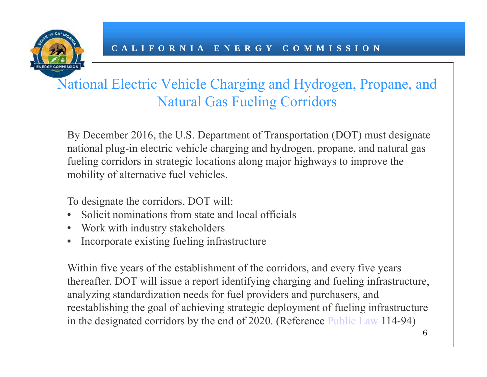

By December 2016, the U.S. Department of Transportation (DOT) must designate national plug-in electric vehicle charging and hydrogen, propane, and natural gas fueling corridors in strategic locations along major highways to improve the mobility of alternative fuel vehicles.

To designate the corridors, DOT will:

- Solicit nominations from state and local officials
- Work with industry stakeholders
- Incorporate existing fueling infrastructure

Within five years of the establishment of the corridors, and every five years thereafter, DOT will issue a report identifying charging and fueling infrastructure, analyzing standardization needs for fuel providers and purchasers, and reestablishing the goal of achieving strategic deployment of fueling infrastructure in the designated corridors by the end of 2020. (Reference Public Law 114-94)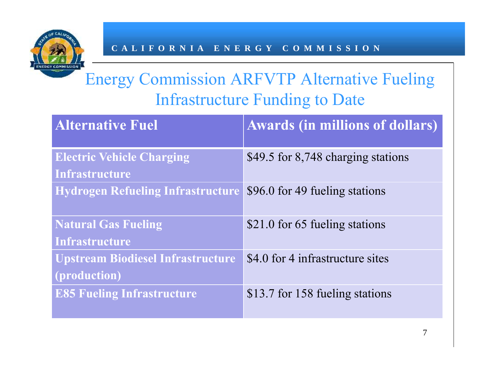

# Energy Commission ARFVTP Alternative Fueling Infrastructure Funding to Date

| <b>Alternative Fuel</b>                                   | <b>Awards (in millions of dollars)</b> |
|-----------------------------------------------------------|----------------------------------------|
| <b>Electric Vehicle Charging</b><br><b>Infrastructure</b> | \$49.5 for 8,748 charging stations     |
| <b>Hydrogen Refueling Infrastructure</b>                  | \$96.0 for 49 fueling stations         |
| <b>Natural Gas Fueling</b><br><b>Infrastructure</b>       | \$21.0 for 65 fueling stations         |
| <b>Upstream Biodiesel Infrastructure</b><br>(production)  | \$4.0 for 4 infrastructure sites       |
| <b>E85 Fueling Infrastructure</b>                         | \$13.7 for 158 fueling stations        |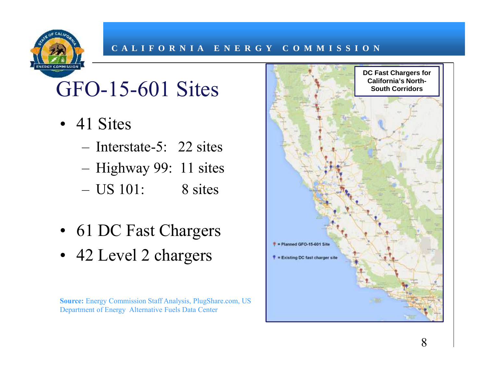# GFO-15-601 Sites

- 41 Sites
	- Interstate-5: 22 sites
	- Highway 99: 11 sites
	- US 101: 8 sites
- 61 DC Fast Chargers
- 42 Level 2 chargers

**Source:** Energy Commission Staff Analysis, PlugShare.com, US Department of Energy Alternative Fuels Data Center

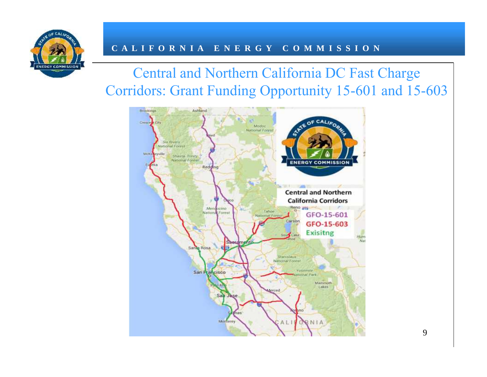

### Central and Northern California DC Fast Charge Corridors: Grant Funding Opportunity 15-601 and 15-603

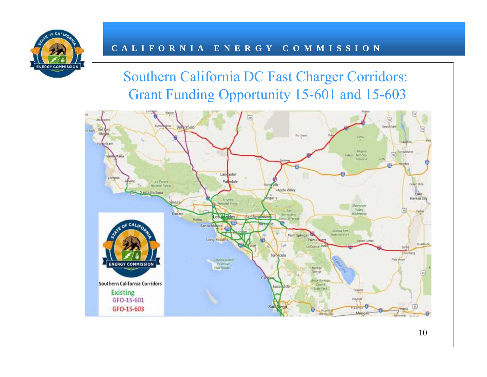

### Southern California DC Fast Charger Corridors: Grant Funding Opportunity 15-601 and 15-603

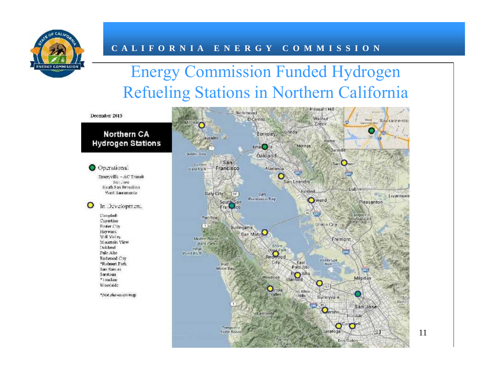

# Energy Commission Funded Hydrogen Refueling Stations in Northern California



11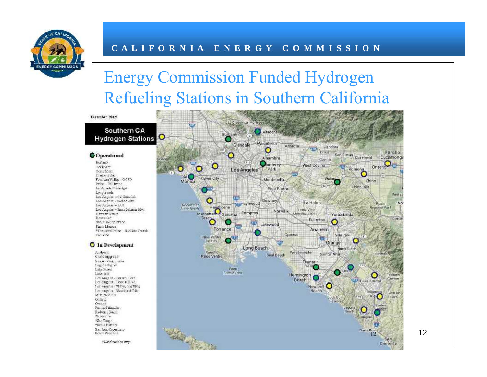

### Energy Commission Funded Hydrogen Refueling Stations in Southern California

December 2015

#### Southern CA **Hydrogen Stations**

#### **Operational**

Burbanit Cocharge\* Corta Mass L'autorid Bar Fauther Valley = 0750 Texion fifth beans La Canada Fhinindge Long Seich Los Angeles = Califiche LA Too Angriet - Tiarhor City Los Angeles - LAX Los Angeles - Sinta Marina Blvt. Newport Beach ENGLIC" Son.2. in C to other c. Sania Mentos \*Thousand Fairm: Rachino Trunsh. Толжно.

#### **O** In Development

22isbenn Chinolipgia: O Syze Viskis, Ave. Lagratic of Lake Hunest Levardale Les Angeles - Berleny Disc Les Angeles Lieron Black Let Angeles - Hellywood Blvd Les Angeles Woodhard Hills Mission Viejot Osta x. osnac Pacific Falmados Redonco Seach ekiwes te Son Trices essenta Forbase San Juan Capturance Bart Publish

"Six ohmen on may



12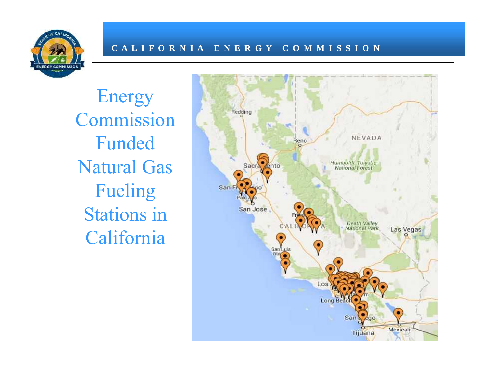

Energy Commission Funded Natural Gas Fueling sanf Stations in San Jose California

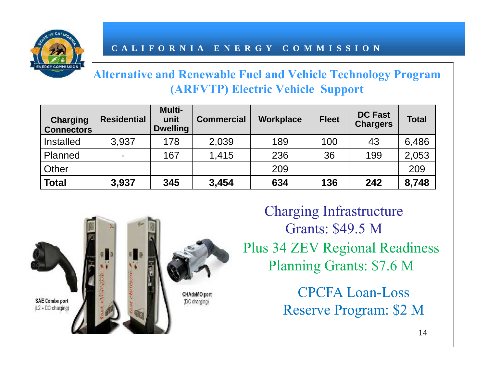

#### **Alternative and Renewable Fuel and Vehicle Technology Program (ARFVTP) Electric Vehicle Support**

| <b>Charging</b><br><b>Connectors</b> | <b>Residential</b> | <b>Multi-</b><br>unit<br><b>Dwelling</b> | <b>Commercial</b> | <b>Workplace</b> | <b>Fleet</b> | <b>DC Fast</b><br><b>Chargers</b> | <b>Total</b> |
|--------------------------------------|--------------------|------------------------------------------|-------------------|------------------|--------------|-----------------------------------|--------------|
| Installed                            | 3,937              | 178                                      | 2,039             | 189              | 100          | 43                                | 6,486        |
| Planned                              | $\blacksquare$     | 167                                      | 1,415             | 236              | 36           | 199                               | 2,053        |
| Other                                |                    |                                          |                   | 209              |              |                                   | 209          |
| <b>Total</b>                         | 3,937              | 345                                      | 3,454             | 634              | 136          | 242                               | 8,748        |



Plus 34 ZEV Regional Readiness Planning Grants: \$7.6 M Charging Infrastructure Grants: \$49.5 M

> CPCFA Loan-Loss Reserve Program: \$2 M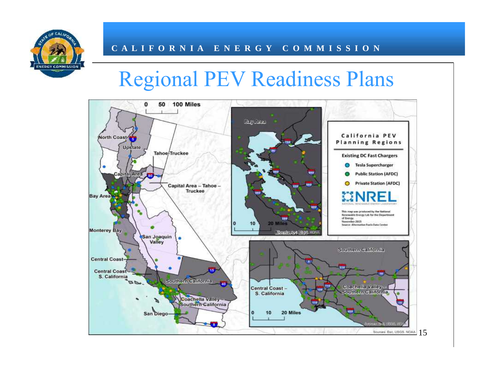

# Regional PEV Readiness Plans

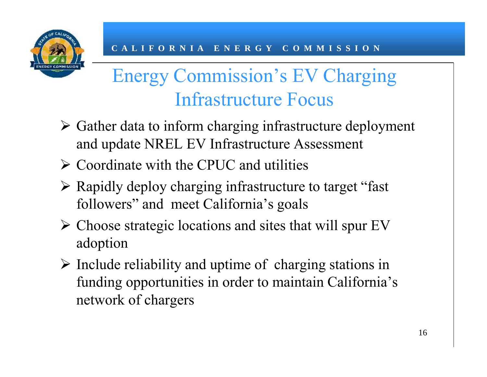

# Energy Commission's EV Charging Infrastructure Focus

- $\triangleright$  Gather data to inform charging infrastructure deployment and update NREL EV Infrastructure Assessment
- $\triangleright$  Coordinate with the CPUC and utilities
- $\triangleright$  Rapidly deploy charging infrastructure to target "fast" followers" and meet California's goals
- $\triangleright$  Choose strategic locations and sites that will spur EV adoption
- $\triangleright$  Include reliability and uptime of charging stations in funding opportunities in order to maintain California's network of chargers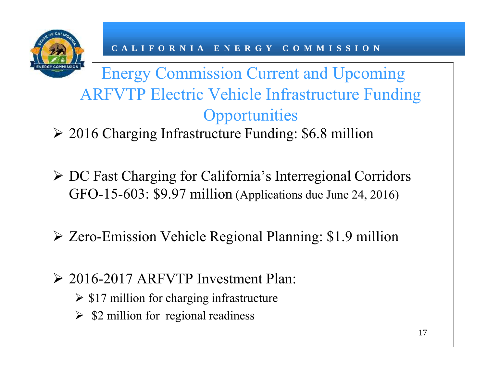

# Energy Commission Current and Upcoming ARFVTP Electric Vehicle Infrastructure Funding **Opportunities**

2016 Charging Infrastructure Funding: \$6.8 million

- DC Fast Charging for California's Interregional Corridors GFO-15-603: \$9.97 million (Applications due June 24, 2016)
- Zero-Emission Vehicle Regional Planning: \$1.9 million
- 2016-2017 ARFVTP Investment Plan:
	- $\geq$  \$17 million for charging infrastructure
	- $\geq$  \$2 million for regional readiness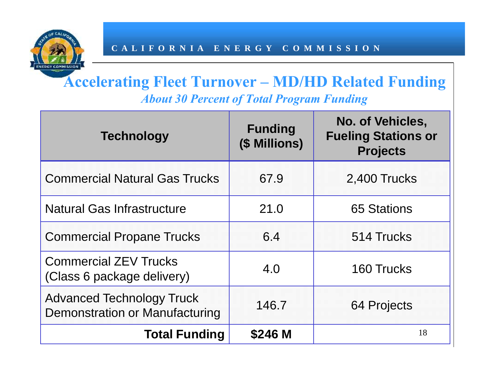

### **Accelerating Fleet Turnover – MD/HD Related Funding** *About 30 Percent of Total Program Funding*

| <b>Technology</b>                                                         | <b>Funding</b><br>(\$ Millions) | <b>No. of Vehicles,</b><br><b>Fueling Stations or</b><br><b>Projects</b> |
|---------------------------------------------------------------------------|---------------------------------|--------------------------------------------------------------------------|
| <b>Commercial Natural Gas Trucks</b>                                      | 67.9                            | 2,400 Trucks                                                             |
| <b>Natural Gas Infrastructure</b>                                         | 21.0                            | 65 Stations                                                              |
| <b>Commercial Propane Trucks</b>                                          | 6.4                             | 514 Trucks                                                               |
| <b>Commercial ZEV Trucks</b><br>(Class 6 package delivery)                | 4.0                             | 160 Trucks                                                               |
| <b>Advanced Technology Truck</b><br><b>Demonstration or Manufacturing</b> | 146.7                           | 64 Projects                                                              |
| <b>Total Funding</b>                                                      | \$246 M                         | 18                                                                       |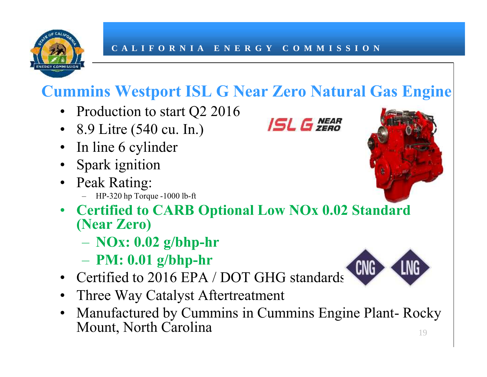

### **Cummins Westport ISL G Near Zero Natural Gas Engine**

- Production to start  $Q^2$  2016<br>• 8.9.1 itre (540 cu, In)
- 8.9 Litre (540 cu. In.)
- In line 6 cylinder
- Spark ignition
- Peak Rating:
	- HP-320 hp Torque -1000 lb-ft
- **Certified to CARB Optional Low NOx 0.02 Standard (Near Zero)**
	- **NOx: 0.02 g/bhp-hr**
	- **PM: 0.01 g/bhp-hr**
- Certified to 2016 EPA / DOT GHG standards
- Three Way Catalyst Aftertreatment
- Manufactured by Cummins in Cummins Engine Plant- Rocky Mount, North Carolina 19





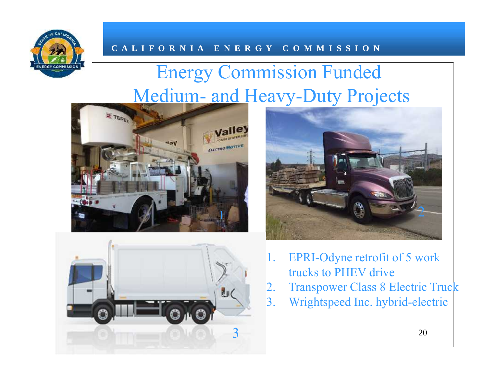

# Energy Commission Funded Medium- and Heavy-Duty Projects







- 1. EPRI-Odyne retrofit of 5 work trucks to PHEV drive
- 2. Transpower Class 8 Electric Truck
- 3. Wrightspeed Inc. hybrid-electric